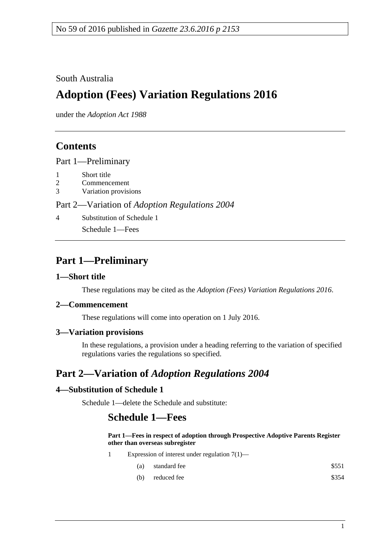### South Australia

# **Adoption (Fees) Variation Regulations 2016**

under the *Adoption Act 1988*

### **Contents**

Part [1—Preliminary](#page-0-0)

- 1 [Short title](#page-0-1)
- 2 [Commencement](#page-0-2)
- 3 [Variation provisions](#page-0-3)

#### Part 2—Variation of *[Adoption Regulations](#page-0-4) 2004*

4 [Substitution of Schedule](#page-0-5) 1

Schedule 1—Fees

## <span id="page-0-0"></span>**Part 1—Preliminary**

#### <span id="page-0-1"></span>**1—Short title**

These regulations may be cited as the *Adoption (Fees) Variation Regulations 2016*.

#### <span id="page-0-2"></span>**2—Commencement**

These regulations will come into operation on 1 July 2016.

### <span id="page-0-3"></span>**3—Variation provisions**

In these regulations, a provision under a heading referring to the variation of specified regulations varies the regulations so specified.

## <span id="page-0-4"></span>**Part 2—Variation of** *Adoption Regulations 2004*

### <span id="page-0-5"></span>**4—Substitution of Schedule 1**

Schedule 1—delete the Schedule and substitute:

### **Schedule 1—Fees**

#### **Part 1—Fees in respect of adoption through Prospective Adoptive Parents Register other than overseas subregister**

- 1 Expression of interest under regulation 7(1)—
	- (a) standard fee  $$551$
	- $(b)$  reduced fee  $$354$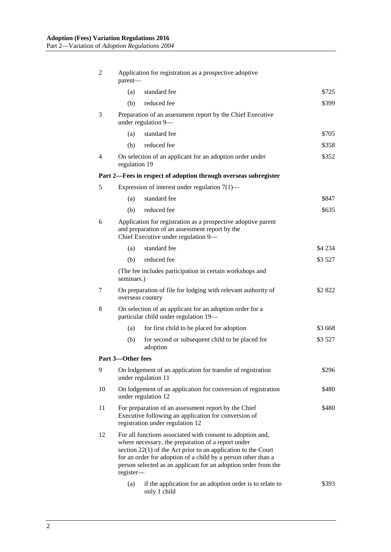| 2  | Application for registration as a prospective adoptive<br>parent-                                                                                                                                                                                                                                                                   |                                                                                               |          |  |
|----|-------------------------------------------------------------------------------------------------------------------------------------------------------------------------------------------------------------------------------------------------------------------------------------------------------------------------------------|-----------------------------------------------------------------------------------------------|----------|--|
|    | (a)                                                                                                                                                                                                                                                                                                                                 | standard fee                                                                                  | \$725    |  |
|    | (b)                                                                                                                                                                                                                                                                                                                                 | reduced fee                                                                                   | \$399    |  |
| 3  | Preparation of an assessment report by the Chief Executive<br>under regulation 9-                                                                                                                                                                                                                                                   |                                                                                               |          |  |
|    | (a)                                                                                                                                                                                                                                                                                                                                 | standard fee                                                                                  | \$705    |  |
|    | (b)                                                                                                                                                                                                                                                                                                                                 | reduced fee                                                                                   | \$358    |  |
| 4  | On selection of an applicant for an adoption order under<br>regulation 19                                                                                                                                                                                                                                                           |                                                                                               | \$352    |  |
|    |                                                                                                                                                                                                                                                                                                                                     | Part 2—Fees in respect of adoption through overseas subregister                               |          |  |
| 5  |                                                                                                                                                                                                                                                                                                                                     | Expression of interest under regulation $7(1)$ —                                              |          |  |
|    | (a)                                                                                                                                                                                                                                                                                                                                 | standard fee                                                                                  | \$847    |  |
|    | (b)                                                                                                                                                                                                                                                                                                                                 | reduced fee                                                                                   | \$635    |  |
| 6  | Application for registration as a prospective adoptive parent<br>and preparation of an assessment report by the<br>Chief Executive under regulation 9-                                                                                                                                                                              |                                                                                               |          |  |
|    | (a)                                                                                                                                                                                                                                                                                                                                 | standard fee                                                                                  | \$4 2 34 |  |
|    | (b)                                                                                                                                                                                                                                                                                                                                 | reduced fee                                                                                   | \$3 527  |  |
|    | (The fee includes participation in certain workshops and<br>seminars.)                                                                                                                                                                                                                                                              |                                                                                               |          |  |
| 7  | On preparation of file for lodging with relevant authority of<br>overseas country                                                                                                                                                                                                                                                   |                                                                                               | \$2822   |  |
| 8  | On selection of an applicant for an adoption order for a<br>particular child under regulation 19-                                                                                                                                                                                                                                   |                                                                                               |          |  |
|    | (a)                                                                                                                                                                                                                                                                                                                                 | for first child to be placed for adoption                                                     | \$3 668  |  |
|    | (b)                                                                                                                                                                                                                                                                                                                                 | for second or subsequent child to be placed for<br>adoption                                   | \$3 527  |  |
|    | Part 3-Other fees                                                                                                                                                                                                                                                                                                                   |                                                                                               |          |  |
| 9  | On lodgement of an application for transfer of registration<br>under regulation 11                                                                                                                                                                                                                                                  |                                                                                               | \$296    |  |
| 10 |                                                                                                                                                                                                                                                                                                                                     | On lodgement of an application for conversion of registration<br>\$480<br>under regulation 12 |          |  |
| 11 | For preparation of an assessment report by the Chief<br>\$480<br>Executive following an application for conversion of<br>registration under regulation 12                                                                                                                                                                           |                                                                                               |          |  |
| 12 | For all functions associated with consent to adoption and,<br>where necessary, the preparation of a report under<br>section $22(1)$ of the Act prior to an application to the Court<br>for an order for adoption of a child by a person other than a<br>person selected as an applicant for an adoption order from the<br>register- |                                                                                               |          |  |
|    | (a)                                                                                                                                                                                                                                                                                                                                 | if the application for an adoption order is to relate to<br>only 1 child                      | \$393    |  |